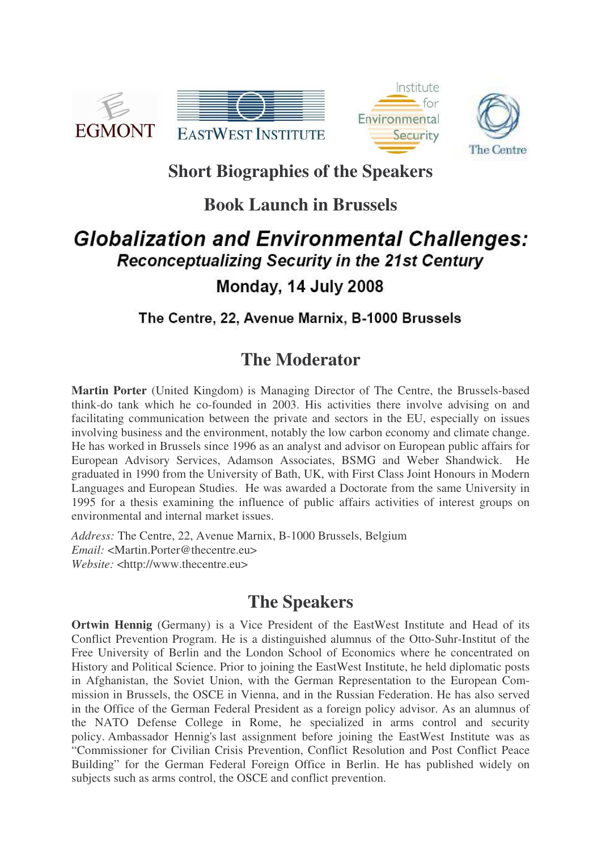





# **Short Biographies of the Speakers**

## **Book Launch in Brussels**

# **Globalization and Environmental Challenges: Reconceptualizing Security in the 21st Century** Monday, 14 July 2008

#### The Centre, 22, Avenue Marnix, B-1000 Brussels

## **The Moderator**

**Martin Porter** (United Kingdom) is Managing Director of The Centre, the Brussels-based think-do tank which he co-founded in 2003. His activities there involve advising on and facilitating communication between the private and sectors in the EU, especially on issues involving business and the environment, notably the low carbon economy and climate change. He has worked in Brussels since 1996 as an analyst and advisor on European public affairs for European Advisory Services, Adamson Associates, BSMG and Weber Shandwick. He graduated in 1990 from the University of Bath, UK, with First Class Joint Honours in Modern Languages and European Studies. He was awarded a Doctorate from the same University in 1995 for a thesis examining the influence of public affairs activities of interest groups on environmental and internal market issues.

*Address:* The Centre, 22, Avenue Marnix, B-1000 Brussels, Belgium *Email:* <Martin.Porter@thecentre.eu> *Website:* <http://www.thecentre.eu>

## **The Speakers**

**Ortwin Hennig** (Germany) is a Vice President of the EastWest Institute and Head of its Conflict Prevention Program. He is a distinguished alumnus of the Otto-Suhr-Institut of the Free University of Berlin and the London School of Economics where he concentrated on History and Political Science. Prior to joining the EastWest Institute, he held diplomatic posts in Afghanistan, the Soviet Union, with the German Representation to the European Commission in Brussels, the OSCE in Vienna, and in the Russian Federation. He has also served in the Office of the German Federal President as a foreign policy advisor. As an alumnus of the NATO Defense College in Rome, he specialized in arms control and security policy. Ambassador Hennig's last assignment before joining the EastWest Institute was as "Commissioner for Civilian Crisis Prevention, Conflict Resolution and Post Conflict Peace Building" for the German Federal Foreign Office in Berlin. He has published widely on subjects such as arms control, the OSCE and conflict prevention.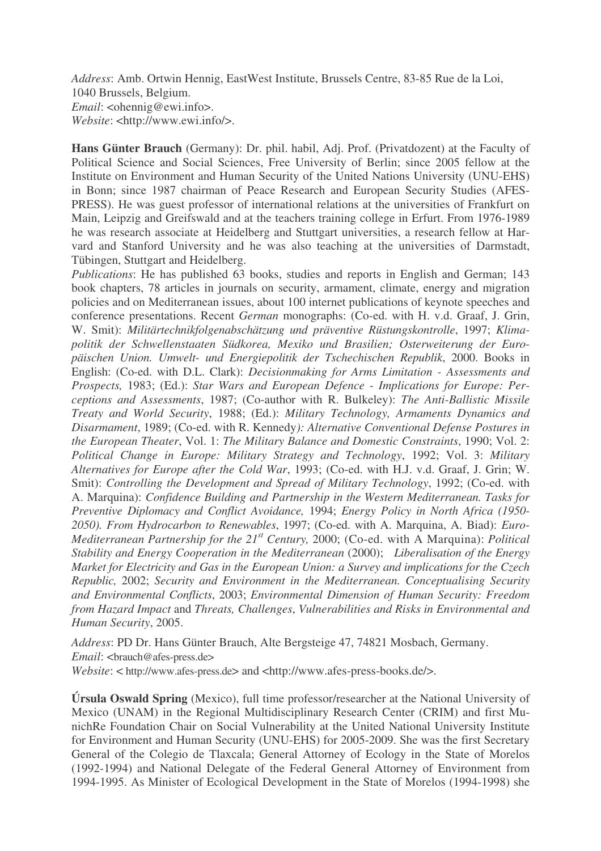*Address*: Amb. Ortwin Hennig, EastWest Institute, Brussels Centre, 83-85 Rue de la Loi, 1040 Brussels, Belgium. *Email*: <*ohennig@ewi.info>. Website*: <http://www.ewi.info/>.

**Hans Günter Brauch** (Germany): Dr. phil. habil, Adj. Prof. (Privatdozent) at the Faculty of Political Science and Social Sciences, Free University of Berlin; since 2005 fellow at the Institute on Environment and Human Security of the United Nations University (UNU-EHS) in Bonn; since 1987 chairman of Peace Research and European Security Studies (AFES-PRESS). He was guest professor of international relations at the universities of Frankfurt on Main, Leipzig and Greifswald and at the teachers training college in Erfurt. From 1976-1989 he was research associate at Heidelberg and Stuttgart universities, a research fellow at Harvard and Stanford University and he was also teaching at the universities of Darmstadt, Tübingen, Stuttgart and Heidelberg.

*Publications*: He has published 63 books, studies and reports in English and German; 143 book chapters, 78 articles in journals on security, armament, climate, energy and migration policies and on Mediterranean issues, about 100 internet publications of keynote speeches and conference presentations. Recent *German* monographs: (Co-ed. with H. v.d. Graaf, J. Grin, W. Smit): *Militärtechnikfolgenabschätzung und präventive Rüstungskontrolle*, 1997; *Klimapolitik der Schwellenstaaten Südkorea, Mexiko und Brasilien; Osterweiterung der Europäischen Union. Umwelt- und Energiepolitik der Tschechischen Republik*, 2000. Books in English: (Co-ed. with D.L. Clark): *Decisionmaking for Arms Limitation - Assessments and Prospects,* 1983; (Ed.): *Star Wars and European Defence - Implications for Europe: Perceptions and Assessments*, 1987; (Co-author with R. Bulkeley): *The Anti-Ballistic Missile Treaty and World Security*, 1988; (Ed.): *Military Technology, Armaments Dynamics and Disarmament*, 1989; (Co-ed. with R. Kennedy*): Alternative Conventional Defense Postures in the European Theater*, Vol. 1: *The Military Balance and Domestic Constraints*, 1990; Vol. 2: *Political Change in Europe: Military Strategy and Technology*, 1992; Vol. 3: *Military Alternatives for Europe after the Cold War*, 1993; (Co-ed. with H.J. v.d. Graaf, J. Grin; W. Smit): *Controlling the Development and Spread of Military Technology*, 1992; (Co-ed. with A. Marquina): *Confidence Building and Partnership in the Western Mediterranean. Tasks for Preventive Diplomacy and Conflict Avoidance,* 1994; *Energy Policy in North Africa (1950- 2050). From Hydrocarbon to Renewables*, 1997; (Co-ed. with A. Marquina, A. Biad): *Euro-Mediterranean Partnership for the 21 st Century,* 2000; (Co-ed. with A Marquina): *Political Stability and Energy Cooperation in the Mediterranean* (2000); *Liberalisation of the Energy Market for Electricity and Gas in the European Union: a Survey and implications for the Czech Republic,* 2002; *Security and Environment in the Mediterranean. Conceptualising Security and Environmental Conflicts*, 2003; *Environmental Dimension of Human Security: Freedom from Hazard Impact* and *Threats, Challenges*, *Vulnerabilities and Risks in Environmental and Human Security*, 2005.

*Address*: PD Dr. Hans Günter Brauch, Alte Bergsteige 47, 74821 Mosbach, Germany. *Email*: <br/> <br/> <br/>  $\triangle$  afes-press.de> *Website*: < http://www.afes-press.de> and <http://www.afes-press-books.de/>.

**Úrsula Oswald Spring** (Mexico), full time professor/researcher at the National University of Mexico (UNAM) in the Regional Multidisciplinary Research Center (CRIM) and first MunichRe Foundation Chair on Social Vulnerability at the United National University Institute for Environment and Human Security (UNU-EHS) for 2005-2009. She was the first Secretary General of the Colegio de Tlaxcala; General Attorney of Ecology in the State of Morelos (1992-1994) and National Delegate of the Federal General Attorney of Environment from 1994-1995. As Minister of Ecological Development in the State of Morelos (1994-1998) she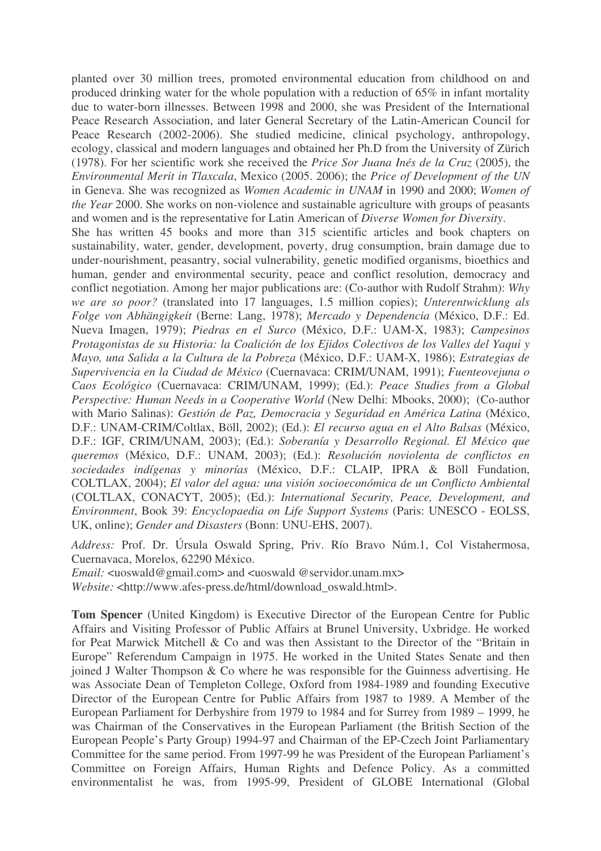planted over 30 million trees, promoted environmental education from childhood on and produced drinking water for the whole population with a reduction of 65% in infant mortality due to water-born illnesses. Between 1998 and 2000, she was President of the International Peace Research Association, and later General Secretary of the Latin-American Council for Peace Research (2002-2006). She studied medicine, clinical psychology, anthropology, ecology, classical and modern languages and obtained her Ph.D from the University of Zürich (1978). For her scientific work she received the *Price Sor Juana Inés de la Cruz* (2005), the *Environmental Merit in Tlaxcala*, Mexico (2005. 2006); the *Price of Development of the UN* in Geneva. She was recognized as *Women Academic in UNAM* in 1990 and 2000; *Women of the Year* 2000. She works on non-violence and sustainable agriculture with groups of peasants and women and is the representative for Latin American of *Diverse Women for Diversity*.

She has written 45 books and more than 315 scientific articles and book chapters on sustainability, water, gender, development, poverty, drug consumption, brain damage due to under-nourishment, peasantry, social vulnerability, genetic modified organisms, bioethics and human, gender and environmental security, peace and conflict resolution, democracy and conflict negotiation. Among her major publications are: (Co-author with Rudolf Strahm): *Why we are so poor?* (translated into 17 languages, 1.5 million copies); *Unterentwicklung als Folge von Abhängigkeit* (Berne: Lang, 1978); *Mercado y Dependencia* (México, D.F.: Ed. Nueva Imagen, 1979); *Piedras en el Surco* (México, D.F.: UAM-X, 1983); *Campesinos Protagonistas de su Historia: la Coalición de los Ejidos Colectivos de los Valles del Yaqui y Mayo, una Salida a la Cultura de la Pobreza* (México, D.F.: UAM-X, 1986); *Estrategias de Supervivencia en la Ciudad de México* (Cuernavaca: CRIM/UNAM, 1991); *Fuenteovejuna o Caos Ecológico* (Cuernavaca: CRIM/UNAM, 1999); (Ed.): *Peace Studies from a Global Perspective: Human Needs in a Cooperative World* (New Delhi: Mbooks, 2000); (Co-author with Mario Salinas): *Gestión de Paz, Democracia y Seguridad en América Latina* (México, D.F.: UNAM-CRIM/Coltlax, Böll, 2002); (Ed.): *El recurso agua en el Alto Balsas* (México, D.F.: IGF, CRIM/UNAM, 2003); (Ed.): *Soberanía y Desarrollo Regional. El México que queremos* (México, D.F.: UNAM, 2003); (Ed.): *Resolución noviolenta de conflictos en sociedades indígenas y minorías* (México, D.F.: CLAIP, IPRA & Böll Fundation, COLTLAX, 2004); *El valor del agua: una visión socioeconómica de un Conflicto Ambiental* (COLTLAX, CONACYT, 2005); (Ed.): *International Security, Peace, Development, and Environment*, Book 39: *Encyclopaedia on Life Support Systems* (Paris: UNESCO - EOLSS, UK, online); *Gender and Disasters* (Bonn: UNU-EHS, 2007).

*Address:* Prof. Dr. Úrsula Oswald Spring, Priv. Río Bravo Núm.1, Col Vistahermosa, Cuernavaca, Morelos, 62290 México.

*Email:* <uoswald@gmail.com> and <uoswald @servidor.unam.mx>

*Website:* <http://www.afes-press.de/html/download\_oswald.html>.

**Tom Spencer** (United Kingdom) is Executive Director of the European Centre for Public Affairs and Visiting Professor of Public Affairs at Brunel University, Uxbridge. He worked for Peat Marwick Mitchell & Co and was then Assistant to the Director of the "Britain in Europe" Referendum Campaign in 1975. He worked in the United States Senate and then joined J Walter Thompson & Co where he was responsible for the Guinness advertising. He was Associate Dean of Templeton College, Oxford from 1984-1989 and founding Executive Director of the European Centre for Public Affairs from 1987 to 1989. A Member of the European Parliament for Derbyshire from 1979 to 1984 and for Surrey from 1989 – 1999, he was Chairman of the Conservatives in the European Parliament (the British Section of the European People's Party Group) 1994-97 and Chairman of the EP-Czech Joint Parliamentary Committee for the same period. From 1997-99 he was President of the European Parliament's Committee on Foreign Affairs, Human Rights and Defence Policy. As a committed environmentalist he was, from 1995-99, President of GLOBE International (Global